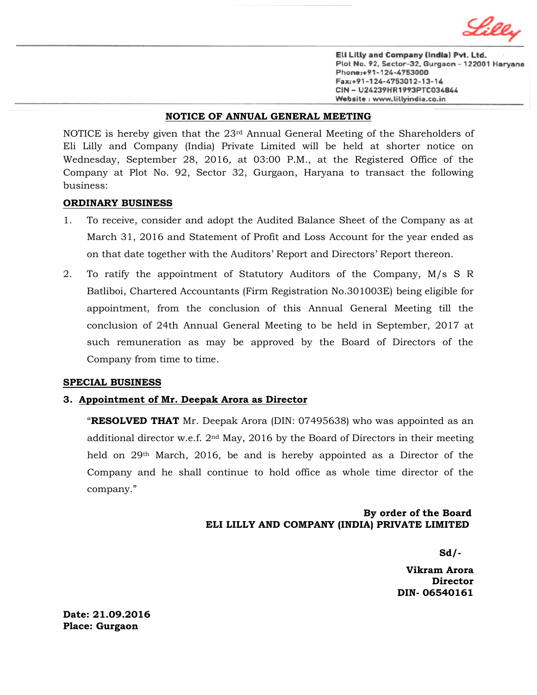

Eli Lilly and Company (India) Pvt. Ltd. Plot No. 92, Sector-32, Gurgaon - 122001 Haryana Phone:+91-124-4753000 Fax:+91-124-4753012-13-14 CIN - U24239HR1993PTC034844 Website: www.lillyindia.co.in

#### **NOTICE OF ANNUAL GENERAL MEETING**

NOTICE is hereby given that the 23rd Annual General Meeting of the Shareholders of Eli Lilly and Company (India) Private Limited will be held at shorter notice on Wednesday, September 28, 2016*,* at 03:00 P.M., at the Registered Office of the Company at Plot No. 92, Sector 32, Gurgaon, Haryana to transact the following business:

### **ORDINARY BUSINESS**

- 1. To receive, consider and adopt the Audited Balance Sheet of the Company as at March 31, 2016 and Statement of Profit and Loss Account for the year ended as on that date together with the Auditors' Report and Directors' Report thereon.
- 2. To ratify the appointment of Statutory Auditors of the Company, M/s S R Batliboi, Chartered Accountants (Firm Registration No.301003E) being eligible for appointment, from the conclusion of this Annual General Meeting till the conclusion of 24th Annual General Meeting to be held in September, 2017 at such remuneration as may be approved by the Board of Directors of the Company from time to time.

#### **SPECIAL BUSINESS**

### **3. Appointment of Mr. Deepak Arora as Director**

"**RESOLVED THAT** Mr. Deepak Arora (DIN: 07495638) who was appointed as an additional director w.e.f.  $2<sup>nd</sup>$  May, 2016 by the Board of Directors in their meeting held on 29th March, 2016, be and is hereby appointed as a Director of the Company and he shall continue to hold office as whole time director of the company."

## **By order of the Board ELI LILLY AND COMPANY (INDIA) PRIVATE LIMITED**

**Sd/-**

 **Vikram Arora Director DIN- 06540161**

**Date: 21.09.2016 Place: Gurgaon**